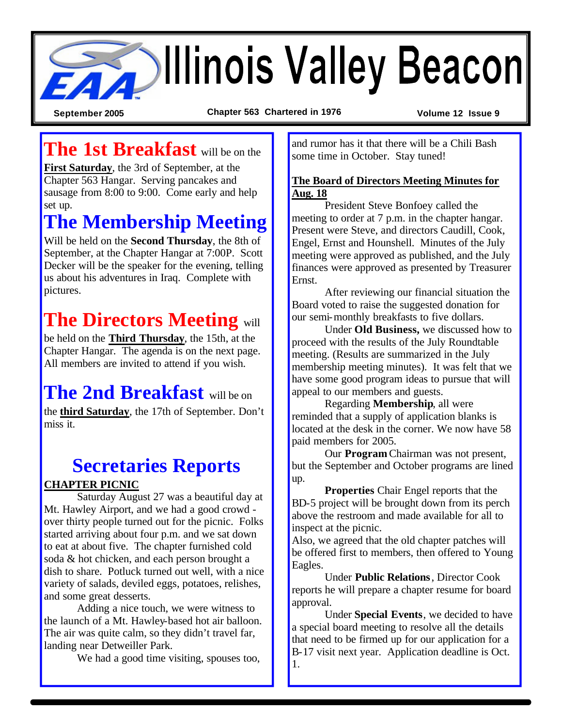

**September 2005 Chapter 563 Chartered in 1976 Volume 12 Issue 9**

### **The 1st Breakfast** will be on the

**First Saturday**, the 3rd of September, at the Chapter 563 Hangar. Serving pancakes and sausage from 8:00 to 9:00. Come early and help set up.

## **The Membership Meeting**

Will be held on the **Second Thursday**, the 8th of September, at the Chapter Hangar at 7:00P. Scott Decker will be the speaker for the evening, telling us about his adventures in Iraq. Complete with pictures.

## **The Directors Meeting** will

be held on the **Third Thursday**, the 15th, at the Chapter Hangar. The agenda is on the next page. All members are invited to attend if you wish.

# **The 2nd Breakfast** will be on

the **third Saturday**, the 17th of September. Don't miss it.

### **Secretaries Reports**

#### **CHAPTER PICNIC**

Saturday August 27 was a beautiful day at Mt. Hawley Airport, and we had a good crowd over thirty people turned out for the picnic. Folks started arriving about four p.m. and we sat down to eat at about five. The chapter furnished cold soda & hot chicken, and each person brought a dish to share. Potluck turned out well, with a nice variety of salads, deviled eggs, potatoes, relishes, and some great desserts.

Adding a nice touch, we were witness to the launch of a Mt. Hawley-based hot air balloon. The air was quite calm, so they didn't travel far, landing near Detweiller Park.

We had a good time visiting, spouses too,

and rumor has it that there will be a Chili Bash some time in October. Stay tuned!

#### **The Board of Directors Meeting Minutes for Aug. 18**

President Steve Bonfoey called the meeting to order at 7 p.m. in the chapter hangar. Present were Steve, and directors Caudill, Cook, Engel, Ernst and Hounshell. Minutes of the July meeting were approved as published, and the July finances were approved as presented by Treasurer Ernst.

After reviewing our financial situation the Board voted to raise the suggested donation for our semi-monthly breakfasts to five dollars.

Under **Old Business,** we discussed how to proceed with the results of the July Roundtable meeting. (Results are summarized in the July membership meeting minutes). It was felt that we have some good program ideas to pursue that will appeal to our members and guests.

Regarding **Membership**, all were reminded that a supply of application blanks is located at the desk in the corner. We now have 58 paid members for 2005.

Our **Program** Chairman was not present, but the September and October programs are lined up.

**Properties** Chair Engel reports that the BD-5 project will be brought down from its perch above the restroom and made available for all to inspect at the picnic.

Also, we agreed that the old chapter patches will be offered first to members, then offered to Young Eagles.

Under **Public Relations**, Director Cook reports he will prepare a chapter resume for board approval.

Under **Special Events**, we decided to have a special board meeting to resolve all the details that need to be firmed up for our application for a B-17 visit next year. Application deadline is Oct. 1.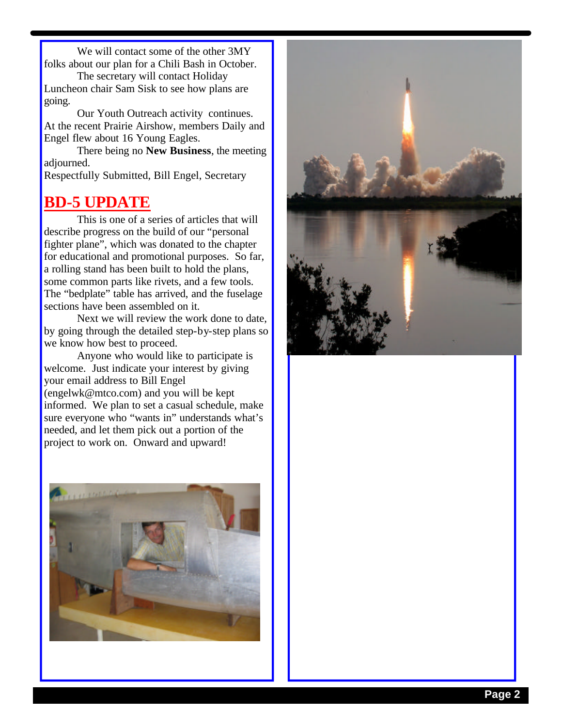We will contact some of the other 3MY folks about our plan for a Chili Bash in October.

The secretary will contact Holiday Luncheon chair Sam Sisk to see how plans are going.

Our Youth Outreach activity continues. At the recent Prairie Airshow, members Daily and Engel flew about 16 Young Eagles.

There being no **New Business**, the meeting adjourned.

Respectfully Submitted, Bill Engel, Secretary

### **BD-5 UPDATE**

This is one of a series of articles that will describe progress on the build of our "personal fighter plane", which was donated to the chapter for educational and promotional purposes. So far, a rolling stand has been built to hold the plans, some common parts like rivets, and a few tools. The "bedplate" table has arrived, and the fuselage sections have been assembled on it.

Next we will review the work done to date, by going through the detailed step-by-step plans so we know how best to proceed.

Anyone who would like to participate is welcome. Just indicate your interest by giving your email address to Bill Engel (engelwk@mtco.com) and you will be kept informed. We plan to set a casual schedule, make sure everyone who "wants in" understands what's needed, and let them pick out a portion of the project to work on. Onward and upward!



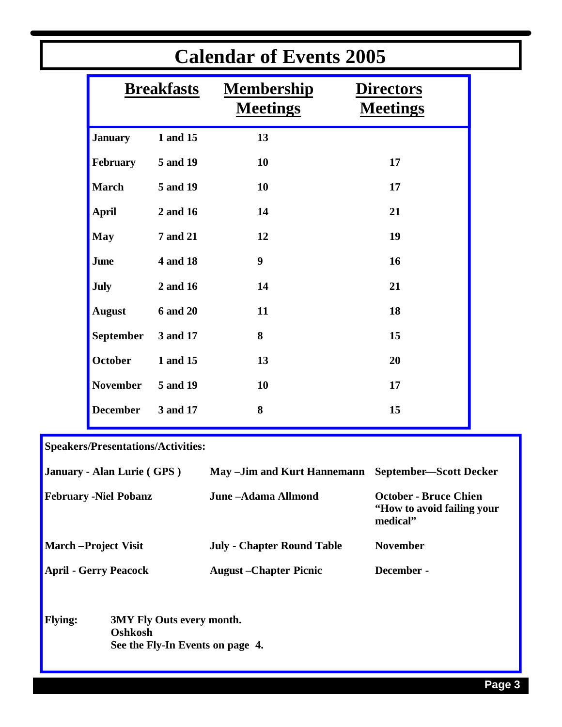| <b>Calendar of Events 2005</b> |                 |                                      |                                     |  |
|--------------------------------|-----------------|--------------------------------------|-------------------------------------|--|
| <b>Breakfasts</b>              |                 | <b>Membership</b><br><b>Meetings</b> | <b>Directors</b><br><b>Meetings</b> |  |
| <b>January</b>                 | 1 and 15        | 13                                   |                                     |  |
| February                       | 5 and 19        | 10                                   | 17                                  |  |
| <b>March</b>                   | 5 and 19        | 10                                   | 17                                  |  |
| <b>April</b>                   | 2 and 16        | 14                                   | 21                                  |  |
| <b>May</b>                     | <b>7 and 21</b> | 12                                   | 19                                  |  |
| <b>June</b>                    | <b>4 and 18</b> | 9                                    | 16                                  |  |
| <b>July</b>                    | 2 and 16        | 14                                   | 21                                  |  |
| <b>August</b>                  | <b>6 and 20</b> | 11                                   | 18                                  |  |
| <b>September</b>               | 3 and 17        | 8                                    | 15                                  |  |
| October                        | 1 and 15        | 13                                   | 20                                  |  |
| <b>November</b>                | 5 and 19        | 10                                   | 17                                  |  |
| <b>December</b>                | 3 and 17        | 8                                    | 15                                  |  |
|                                |                 |                                      |                                     |  |

**Speakers/Presentations/Activities:**

|                              | January - Alan Lurie (GPS)                                                      | May -Jim and Kurt Hannemann       | <b>September-Scott Decker</b>                                           |
|------------------------------|---------------------------------------------------------------------------------|-----------------------------------|-------------------------------------------------------------------------|
| <b>February -Niel Pobanz</b> |                                                                                 | June -Adama Allmond               | <b>October - Bruce Chien</b><br>"How to avoid failing your"<br>medical" |
| <b>March-Project Visit</b>   |                                                                                 | <b>July - Chapter Round Table</b> | <b>November</b>                                                         |
| <b>April - Gerry Peacock</b> |                                                                                 | <b>August</b> – Chapter Picnic    | December -                                                              |
| <b>Flying:</b>               | <b>3MY Fly Outs every month.</b><br>Oshkosh<br>See the Fly-In Events on page 4. |                                   |                                                                         |

a sa karang sa kabupatèn Kabupatèn Kabupatèn Kabupatèn Kabupatèn Kabupatèn Kabupatèn Kabupatèn Kabupatèn Kabup